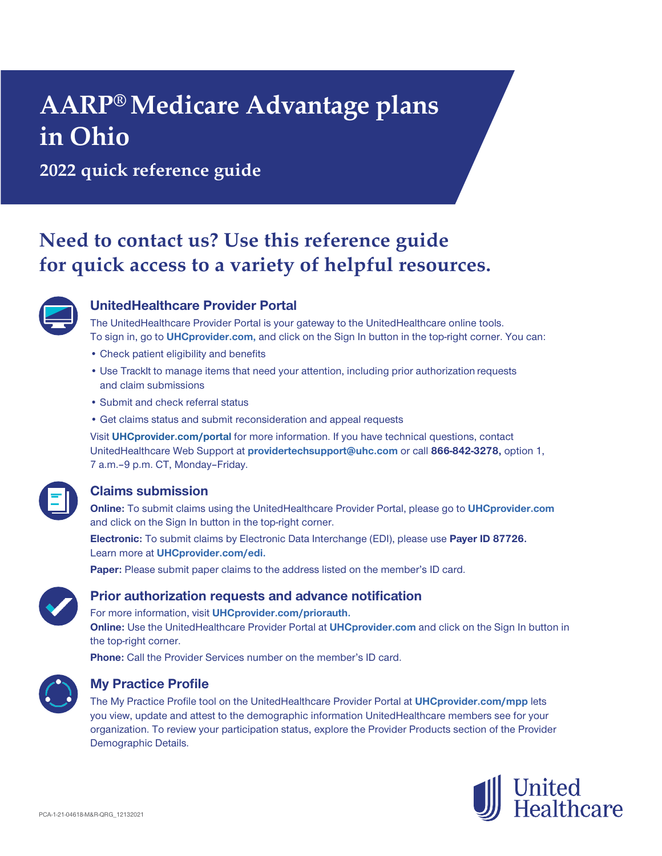# **AARP® Medicare Advantage plans in Ohio**

**2022 quick reference guide**

# **Need to contact us? Use this reference guide for quick access to a variety of helpful resources.**



## **UnitedHealthcare Provider Portal**

The UnitedHealthcare Provider Portal is your gateway to the UnitedHealthcare online tools. To sign in, go to **UHCprovider.com,** and click on the Sign In button in the top-right corner. You can:

- Check patient eligibility and benefits
- Use TrackIt to manage items that need your attention, including prior authorization requests and claim submissions
- Submit and check referral status
- Get claims status and submit reconsideration and appeal requests

Visit **UHCprovider.com/portal** for more information. If you have technical questions, contact UnitedHealthcare Web Support at **[providertechsupport@uhc.com](mailto:providertechsupport@uhc.com)** or call **866-842-3278,** option 1, 7 a.m. - 9 p.m. CT, Monday - Friday.

# **Claims submission**

**Online:** To submit claims using the UnitedHealthcare Provider Portal, please go to **UHCprovider.com** and click on the Sign In button in the top-right corner.

**Electronic:** To submit claims by Electronic Data Interchange (EDI), please use **Payer ID 87726.** Learn more at **UHCprovider.com/edi.**

Paper: Please submit paper claims to the address listed on the member's ID card.



#### **Prior authorization requests and advance notification**

For more information, visit **UHCprovider.com/priorauth.**

**Online:** Use the UnitedHealthcare Provider Portal at **UHCprovider.com** and click on the Sign In button in the top-right corner.

**Phone:** Call the Provider Services number on the member's ID card.



#### **My Practice Profile**

The My Practice Profile tool on the UnitedHealthcare Provider Portal at **UHCprovider.com/mpp** lets you view, update and attest to the demographic information UnitedHealthcare members see for your organization. To review your participation status, explore the Provider Products section of the Provider Demographic Details.

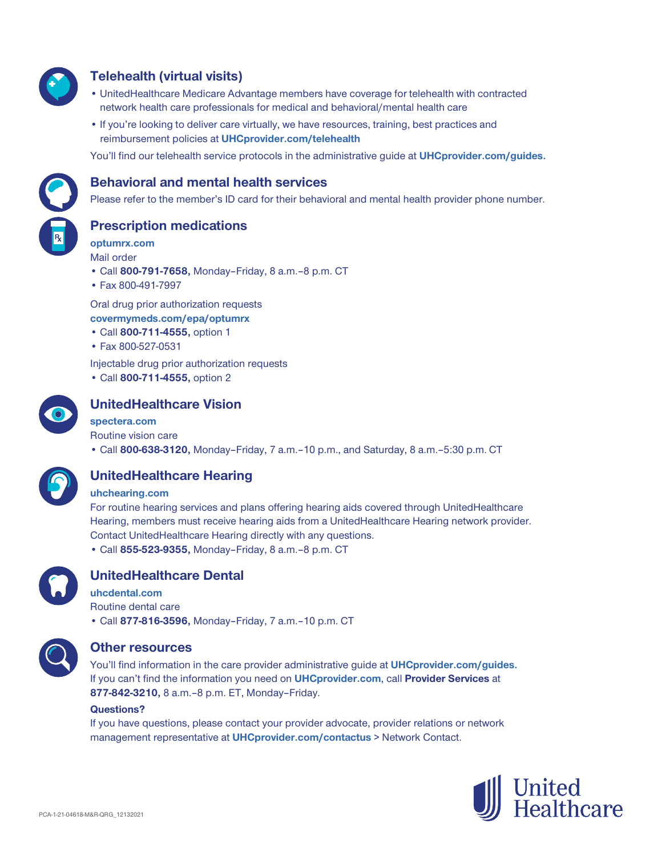

## **Telehealth (virtual visits)**

- UnitedHealthcare Medicare Advantage members have coverage for telehealth with contracted network health care professionals for medical and behavioral/mental health care
- If you're looking to deliver care virtually, we have resources, training, best practices and reimbursement policies at **UHCprovider.com/telehealth**

You'll find our telehealth service protocols in the administrative guide at **UHCprovider.com/guides.**



#### **Behavioral and mental health services**

Please refer to the member's ID card for their behavioral and mental health provider phone number.

#### **Prescription medications**

**optumrx.com**

- Mail order • Call **800-791-7658,** Monday–Friday, 8 a.m.‒8 p.m. CT
- Fax 800-491-7997

Oral drug prior authorization requests **covermymeds.com/epa/optumrx**

- Call **800-711-4555,** option 1
- Fax 800-527-0531

Injectable drug prior authorization requests

• Call **800-711-4555,** option 2



## **UnitedHealthcare Vision**

#### **spectera.com**

Routine vision care

• Call **800-638-3120,** Monday–Friday, 7 a.m.–10 p.m., and Saturday, 8 a.m.–5:30 p.m. CT



# **UnitedHealthcare Hearing**

#### **uhchearing.com**

For routine hearing services and plans offering hearing aids covered through UnitedHealthcare Hearing, members must receive hearing aids from a UnitedHealthcare Hearing network provider. Contact UnitedHealthcare Hearing directly with any questions. • Call **855-523-9355,** Monday–Friday, 8 a.m.–8 p.m. CT



#### **UnitedHealthcare Dental**

**uhcdental.com** Routine dental care • Call **877-816-3596,** Monday–Friday, 7 a.m.–10 p.m. CT



#### **Other resources**

You'll find information in the care provider administrative guide at **UHCprovider.com/guides.**  If you can't find the information you need on **UHCprovider.com**, call **Provider Services** at **877-842-3210,** 8 a.m.–8 p.m. ET, Monday–Friday.

#### **Questions?**

If you have questions, please contact your provider advocate, provider relations or network management representative at **UHCprovider.com/contactus** > Network Contact.

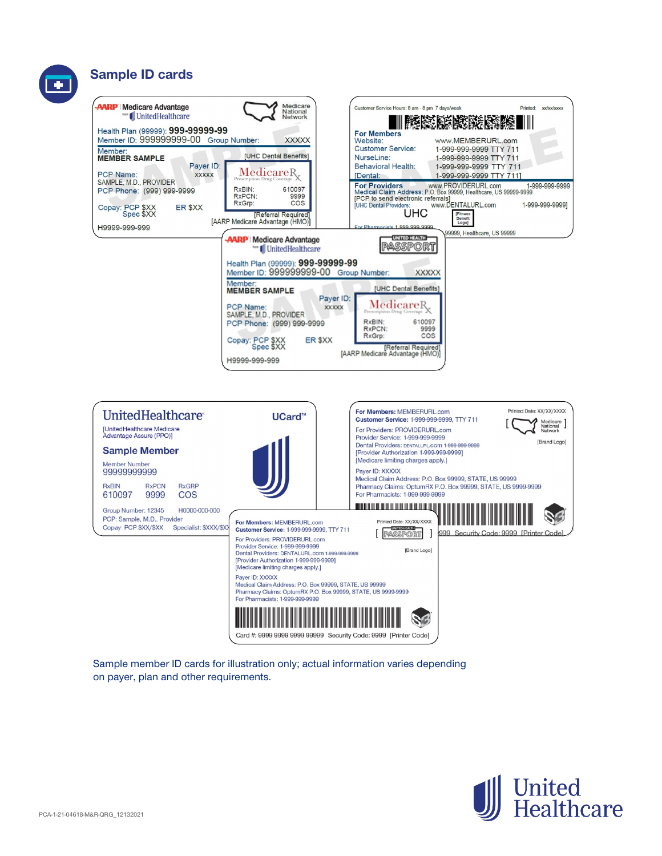





Sample member ID cards for illustration only; actual information varies depending on payer, plan and other requirements.

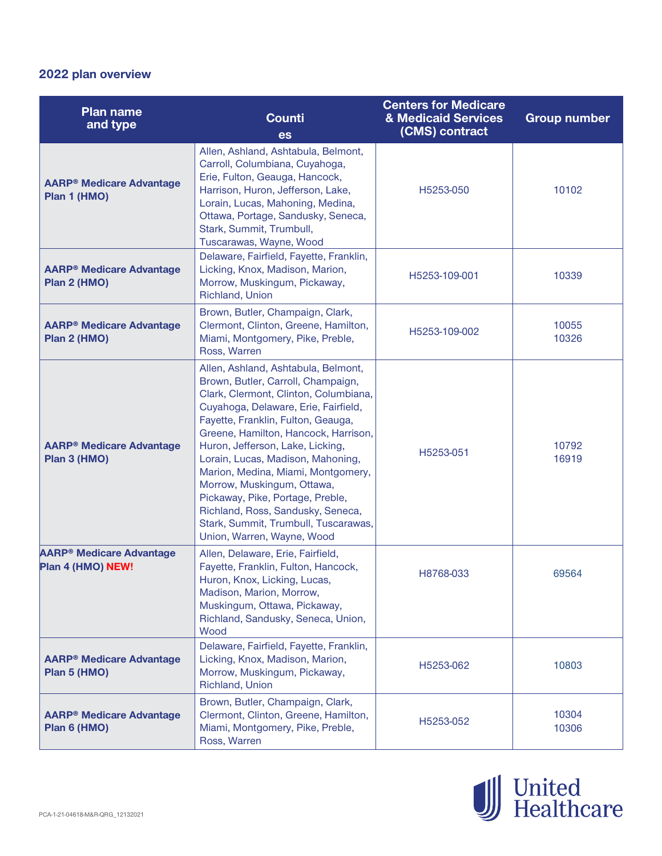# **2022 plan overview**

| <b>Plan name</b><br>and type                                    | <b>Counti</b><br><b>es</b>                                                                                                                                                                                                                                                                                                                                                                                                                                                                                                           | <b>Centers for Medicare</b><br>& Medicaid Services<br>(CMS) contract | <b>Group number</b> |
|-----------------------------------------------------------------|--------------------------------------------------------------------------------------------------------------------------------------------------------------------------------------------------------------------------------------------------------------------------------------------------------------------------------------------------------------------------------------------------------------------------------------------------------------------------------------------------------------------------------------|----------------------------------------------------------------------|---------------------|
| <b>AARP<sup>®</sup> Medicare Advantage</b><br>Plan 1 (HMO)      | Allen, Ashland, Ashtabula, Belmont,<br>Carroll, Columbiana, Cuyahoga,<br>Erie, Fulton, Geauga, Hancock,<br>Harrison, Huron, Jefferson, Lake,<br>Lorain, Lucas, Mahoning, Medina,<br>Ottawa, Portage, Sandusky, Seneca,<br>Stark, Summit, Trumbull,<br>Tuscarawas, Wayne, Wood                                                                                                                                                                                                                                                        | H5253-050                                                            | 10102               |
| <b>AARP<sup>®</sup> Medicare Advantage</b><br>Plan 2 (HMO)      | Delaware, Fairfield, Fayette, Franklin,<br>Licking, Knox, Madison, Marion,<br>Morrow, Muskingum, Pickaway,<br>Richland, Union                                                                                                                                                                                                                                                                                                                                                                                                        | H5253-109-001                                                        | 10339               |
| <b>AARP<sup>®</sup> Medicare Advantage</b><br>Plan 2 (HMO)      | Brown, Butler, Champaign, Clark,<br>Clermont, Clinton, Greene, Hamilton,<br>Miami, Montgomery, Pike, Preble,<br>Ross, Warren                                                                                                                                                                                                                                                                                                                                                                                                         | H5253-109-002                                                        | 10055<br>10326      |
| <b>AARP<sup>®</sup> Medicare Advantage</b><br>Plan 3 (HMO)      | Allen, Ashland, Ashtabula, Belmont,<br>Brown, Butler, Carroll, Champaign,<br>Clark, Clermont, Clinton, Columbiana,<br>Cuyahoga, Delaware, Erie, Fairfield,<br>Fayette, Franklin, Fulton, Geauga,<br>Greene, Hamilton, Hancock, Harrison,<br>Huron, Jefferson, Lake, Licking,<br>Lorain, Lucas, Madison, Mahoning,<br>Marion, Medina, Miami, Montgomery,<br>Morrow, Muskingum, Ottawa,<br>Pickaway, Pike, Portage, Preble,<br>Richland, Ross, Sandusky, Seneca,<br>Stark, Summit, Trumbull, Tuscarawas,<br>Union, Warren, Wayne, Wood | H5253-051                                                            | 10792<br>16919      |
| <b>AARP<sup>®</sup> Medicare Advantage</b><br>Plan 4 (HMO) NEW! | Allen, Delaware, Erie, Fairfield,<br>Fayette, Franklin, Fulton, Hancock,<br>Huron, Knox, Licking, Lucas,<br>Madison, Marion, Morrow,<br>Muskingum, Ottawa, Pickaway,<br>Richland, Sandusky, Seneca, Union,<br>Wood                                                                                                                                                                                                                                                                                                                   | H8768-033                                                            | 69564               |
| <b>AARP<sup>®</sup> Medicare Advantage</b><br>Plan 5 (HMO)      | Delaware, Fairfield, Fayette, Franklin,<br>Licking, Knox, Madison, Marion,<br>Morrow, Muskingum, Pickaway,<br>Richland, Union                                                                                                                                                                                                                                                                                                                                                                                                        | H5253-062                                                            | 10803               |
| <b>AARP® Medicare Advantage</b><br>Plan 6 (HMO)                 | Brown, Butler, Champaign, Clark,<br>Clermont, Clinton, Greene, Hamilton,<br>Miami, Montgomery, Pike, Preble,<br>Ross, Warren                                                                                                                                                                                                                                                                                                                                                                                                         | H5253-052                                                            | 10304<br>10306      |